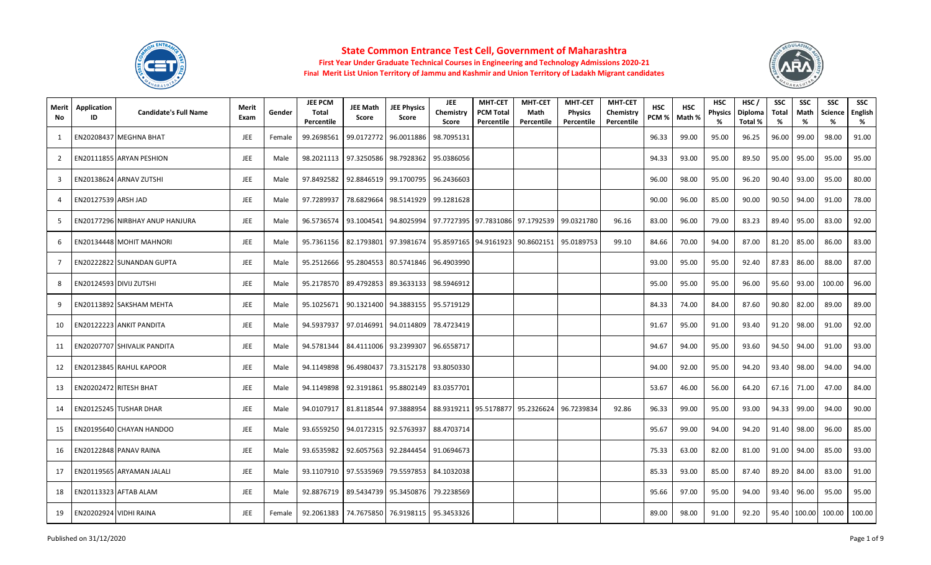



| Merit<br>No.   | Application<br>ID   | <b>Candidate's Full Name</b>           | Merit<br>Exam | Gender | <b>JEE PCM</b><br>Total<br>Percentile | <b>JEE Math</b><br>Score | <b>JEE Physics</b><br>Score                       | <b>JEE</b><br>Chemistry<br>Score | <b>MHT-CET</b><br><b>PCM Total</b><br>Percentile | <b>MHT-CET</b><br>Math<br>Percentile                           | <b>MHT-CET</b><br><b>Physics</b><br>Percentile | <b>MHT-CET</b><br>Chemistry<br>Percentile | <b>HSC</b><br>PCM % | <b>HSC</b><br>Math % | <b>HSC</b><br><b>Physics</b><br>% | HSC/<br>Diploma<br>Total % | <b>SSC</b><br>Total<br>% | <b>SSC</b><br>Math<br>% | <b>SSC</b><br><b>Science</b><br>% | <b>SSC</b><br>English<br>% |
|----------------|---------------------|----------------------------------------|---------------|--------|---------------------------------------|--------------------------|---------------------------------------------------|----------------------------------|--------------------------------------------------|----------------------------------------------------------------|------------------------------------------------|-------------------------------------------|---------------------|----------------------|-----------------------------------|----------------------------|--------------------------|-------------------------|-----------------------------------|----------------------------|
| 1              |                     | EN20208437 MEGHNA BHAT                 | JEE           | Female | 99.2698561                            | 99.0172772               | 96.0011886                                        | 98.7095131                       |                                                  |                                                                |                                                |                                           | 96.33               | 99.00                | 95.00                             | 96.25                      | 96.00                    | 99.00                   | 98.00                             | 91.00                      |
| 2              |                     | EN20111855 ARYAN PESHION               | <b>JEE</b>    | Male   |                                       |                          | 98.2021113 97.3250586 98.7928362                  | 95.0386056                       |                                                  |                                                                |                                                |                                           | 94.33               | 93.00                | 95.00                             | 89.50                      | 95.00                    | 95.00                   | 95.00                             | 95.00                      |
| 3              |                     | EN20138624 ARNAV ZUTSHI                | JEE           | Male   | 97.8492582                            |                          | 92.8846519 99.1700795                             | 96.2436603                       |                                                  |                                                                |                                                |                                           | 96.00               | 98.00                | 95.00                             | 96.20                      | 90.40                    | 93.00                   | 95.00                             | 80.00                      |
| $\Delta$       | EN20127539 ARSH JAD |                                        | JEE           | Male   | 97.7289937                            | 78.6829664               | 98.5141929                                        | 99.1281628                       |                                                  |                                                                |                                                |                                           | 90.00               | 96.00                | 85.00                             | 90.00                      | 90.50                    | 94.00                   | 91.00                             | 78.00                      |
| -5             |                     | <b>EN20177296 NIRBHAY ANUP HANJURA</b> | JEE           | Male   |                                       |                          | 96.5736574   93.1004541   94.8025994              |                                  |                                                  | 97.7727395 97.7831086 97.1792539                               | 99.0321780                                     | 96.16                                     | 83.00               | 96.00                | 79.00                             | 83.23                      | 89.40                    | 95.00                   | 83.00                             | 92.00                      |
| 6              |                     | <b>EN20134448 MOHIT MAHNORI</b>        | JEE           | Male   | 95.7361156                            |                          |                                                   |                                  |                                                  | 82.1793801   97.3981674   95.8597165   94.9161923   90.8602151 | 95.0189753                                     | 99.10                                     | 84.66               | 70.00                | 94.00                             | 87.00                      | 81.20                    | 85.00                   | 86.00                             | 83.00                      |
| $\overline{7}$ |                     | EN20222822 SUNANDAN GUPTA              | <b>JEE</b>    | Male   | 95.2512666                            |                          | 95.2804553 80.5741846 96.4903990                  |                                  |                                                  |                                                                |                                                |                                           | 93.00               | 95.00                | 95.00                             | 92.40                      | 87.83                    | 86.00                   | 88.00                             | 87.00                      |
| 8              |                     | EN20124593 DIVIJ ZUTSHI                | <b>JEE</b>    | Male   |                                       |                          | 95.2178570 89.4792853 89.3633133                  | 98.5946912                       |                                                  |                                                                |                                                |                                           | 95.00               | 95.00                | 95.00                             | 96.00                      | 95.60                    | 93.00                   | 100.00                            | 96.00                      |
| 9              |                     | EN20113892 SAKSHAM MEHTA               | JEE           | Male   | 95.1025671                            |                          | 90.1321400 94.3883155                             | 95.5719129                       |                                                  |                                                                |                                                |                                           | 84.33               | 74.00                | 84.00                             | 87.60                      | 90.80                    | 82.00                   | 89.00                             | 89.00                      |
| 10             |                     | EN20122223 ANKIT PANDITA               | JEE           | Male   | 94.5937937                            |                          | 97.0146991 94.0114809                             | 78.4723419                       |                                                  |                                                                |                                                |                                           | 91.67               | 95.00                | 91.00                             | 93.40                      | 91.20                    | 98.00                   | 91.00                             | 92.00                      |
| 11             |                     | <b>EN20207707 SHIVALIK PANDITA</b>     | <b>JEE</b>    | Male   | 94.5781344                            |                          | 84.4111006 93.2399307                             | 96.6558717                       |                                                  |                                                                |                                                |                                           | 94.67               | 94.00                | 95.00                             | 93.60                      | 94.50                    | 94.00                   | 91.00                             | 93.00                      |
| 12             |                     | EN20123845 RAHUL KAPOOR                | JEE           | Male   | 94.1149898                            |                          | 96.4980437 73.3152178                             | 93.8050330                       |                                                  |                                                                |                                                |                                           | 94.00               | 92.00                | 95.00                             | 94.20                      | 93.40                    | 98.00                   | 94.00                             | 94.00                      |
| 13             |                     | EN20202472 RITESH BHAT                 | <b>JEE</b>    | Male   | 94.1149898                            |                          | 92.3191861 95.8802149                             | 83.0357701                       |                                                  |                                                                |                                                |                                           | 53.67               | 46.00                | 56.00                             | 64.20                      | 67.16                    | 71.00                   | 47.00                             | 84.00                      |
| 14             |                     | EN20125245 TUSHAR DHAR                 | <b>JEE</b>    | Male   | 94.0107917                            |                          | 81.8118544 97.3888954                             |                                  |                                                  | 88.9319211 95.5178877 95.2326624                               | 96.7239834                                     | 92.86                                     | 96.33               | 99.00                | 95.00                             | 93.00                      | 94.33                    | 99.00                   | 94.00                             | 90.00                      |
| 15             |                     | EN20195640 CHAYAN HANDOO               | JEE           | Male   | 93.6559250                            |                          | 94.0172315 92.5763937                             | 88.4703714                       |                                                  |                                                                |                                                |                                           | 95.67               | 99.00                | 94.00                             | 94.20                      | 91.40                    | 98.00                   | 96.00                             | 85.00                      |
| 16             |                     | EN20122848 PANAV RAINA                 | JEE           | Male   | 93.6535982                            |                          | 92.6057563 92.2844454                             | 91.0694673                       |                                                  |                                                                |                                                |                                           | 75.33               | 63.00                | 82.00                             | 81.00                      | 91.00                    | 94.00                   | 85.00                             | 93.00                      |
| 17             |                     | EN20119565 ARYAMAN JALALI              | <b>JEE</b>    | Male   | 93.1107910                            |                          | 97.5535969 79.5597853                             | 84.1032038                       |                                                  |                                                                |                                                |                                           | 85.33               | 93.00                | 85.00                             | 87.40                      | 89.20                    | 84.00                   | 83.00                             | 91.00                      |
| 18             |                     | EN20113323 AFTAB ALAM                  | <b>JEE</b>    | Male   | 92.8876719                            |                          | 89.5434739 95.3450876 79.2238569                  |                                  |                                                  |                                                                |                                                |                                           | 95.66               | 97.00                | 95.00                             | 94.00                      | 93.40                    | 96.00                   | 95.00                             | 95.00                      |
| 19             |                     | EN20202924 VIDHI RAINA                 | JEE           | Female |                                       |                          | 92.2061383   74.7675850   76.9198115   95.3453326 |                                  |                                                  |                                                                |                                                |                                           | 89.00               | 98.00                | 91.00                             | 92.20                      |                          | 95.40 100.00            | 100.00                            | 100.00                     |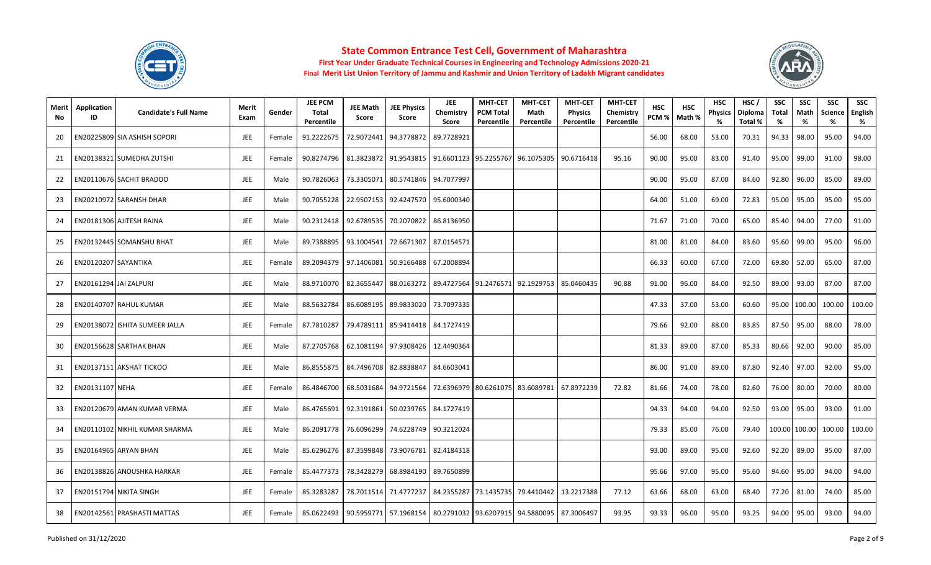



| Merit<br>No. | Application<br>ID      | <b>Candidate's Full Name</b>   | Merit<br>Exam | Gender | <b>JEE PCM</b><br>Total<br>Percentile | <b>JEE Math</b><br>Score | <b>JEE Physics</b><br>Score                       | <b>JEE</b><br>Chemistry<br>Score | <b>MHT-CET</b><br><b>PCM Total</b><br>Percentile | <b>MHT-CET</b><br>Math<br>Percentile                           | <b>MHT-CET</b><br><b>Physics</b><br>Percentile | <b>MHT-CET</b><br>Chemistry<br>Percentile | <b>HSC</b><br>PCM <sub>%</sub> | <b>HSC</b><br>Math % | <b>HSC</b><br><b>Physics</b><br>% | HSC/<br>Diploma<br>Total % | <b>SSC</b><br>Total<br>% | <b>SSC</b><br>Math<br>% | <b>SSC</b><br><b>Science</b><br>% | <b>SSC</b><br>English<br>% |
|--------------|------------------------|--------------------------------|---------------|--------|---------------------------------------|--------------------------|---------------------------------------------------|----------------------------------|--------------------------------------------------|----------------------------------------------------------------|------------------------------------------------|-------------------------------------------|--------------------------------|----------------------|-----------------------------------|----------------------------|--------------------------|-------------------------|-----------------------------------|----------------------------|
| -20          |                        | EN20225809 SIA ASHISH SOPORI   | <b>JEE</b>    | Female | 91.2222675                            | 72.9072441               | 94.3778872                                        | 89.7728921                       |                                                  |                                                                |                                                |                                           | 56.00                          | 68.00                | 53.00                             | 70.31                      | 94.33                    | 98.00                   | 95.00                             | 94.00                      |
| 21           |                        | EN20138321 SUMEDHA ZUTSHI      | JEE           | Female |                                       |                          | 90.8274796 81.3823872 91.9543815                  |                                  |                                                  | 91.6601123 95.2255767 96.1075305                               | 90.6716418                                     | 95.16                                     | 90.00                          | 95.00                | 83.00                             | 91.40                      | 95.00                    | 99.00                   | 91.00                             | 98.00                      |
| 22           |                        | EN20110676 SACHIT BRADOO       | JEE           | Male   | 90.7826063                            | 73.3305071               | 80.5741846                                        | 94.7077997                       |                                                  |                                                                |                                                |                                           | 90.00                          | 95.00                | 87.00                             | 84.60                      | 92.80                    | 96.00                   | 85.00                             | 89.00                      |
| 23           |                        | EN20210972 SARANSH DHAR        | <b>JEE</b>    | Male   | 90.7055228                            |                          | 22.9507153 92.4247570                             | 95.6000340                       |                                                  |                                                                |                                                |                                           | 64.00                          | 51.00                | 69.00                             | 72.83                      | 95.00                    | 95.00                   | 95.00                             | 95.00                      |
| 24           |                        | EN20181306 AJITESH RAINA       | <b>JEE</b>    | Male   |                                       |                          | 90.2312418 92.6789535 70.2070822                  | 86.8136950                       |                                                  |                                                                |                                                |                                           | 71.67                          | 71.00                | 70.00                             | 65.00                      | 85.40                    | 94.00                   | 77.00                             | 91.00                      |
| 25           |                        | EN20132445 SOMANSHU BHAT       | JEE           | Male   | 89.7388895                            | 93.1004541               | 72.6671307                                        | 87.0154571                       |                                                  |                                                                |                                                |                                           | 81.00                          | 81.00                | 84.00                             | 83.60                      | 95.60                    | 99.00                   | 95.00                             | 96.00                      |
| 26           | EN20120207 SAYANTIKA   |                                | JEE           | Female | 89.2094379                            | 97.1406081               | 50.9166488                                        | 67.2008894                       |                                                  |                                                                |                                                |                                           | 66.33                          | 60.00                | 67.00                             | 72.00                      | 69.80                    | 52.00                   | 65.00                             | 87.00                      |
| 27           | EN20161294 JAI ZALPURI |                                | JEE           | Male   | 88.9710070                            | 82.3655447               | 88.0163272                                        |                                  |                                                  | 89.4727564 91.2476571 92.1929753                               | 85.0460435                                     | 90.88                                     | 91.00                          | 96.00                | 84.00                             | 92.50                      | 89.00                    | 93.00                   | 87.00                             | 87.00                      |
| 28           |                        | EN20140707 RAHUL KUMAR         | <b>JEE</b>    | Male   | 88.5632784                            | 86.6089195               | 89.9833020                                        | 73.7097335                       |                                                  |                                                                |                                                |                                           | 47.33                          | 37.00                | 53.00                             | 60.60                      | 95.00                    | 100.00                  | 100.00                            | 100.00                     |
| 29           |                        | EN20138072 ISHITA SUMEER JALLA | <b>JEE</b>    | Female | 87.7810287                            | 79.4789111               | 85.9414418                                        | 84.1727419                       |                                                  |                                                                |                                                |                                           | 79.66                          | 92.00                | 88.00                             | 83.85                      | 87.50                    | 95.00                   | 88.00                             | 78.00                      |
| 30           |                        | EN20156628 SARTHAK BHAN        | <b>JEE</b>    | Male   |                                       |                          | 87.2705768   62.1081194   97.9308426   12.4490364 |                                  |                                                  |                                                                |                                                |                                           | 81.33                          | 89.00                | 87.00                             | 85.33                      | 80.66                    | 92.00                   | 90.00                             | 85.00                      |
| 31           |                        | EN20137151 AKSHAT TICKOO       | <b>JEE</b>    | Male   | 86.8555875                            |                          | 84.7496708 82.8838847                             | 84.6603041                       |                                                  |                                                                |                                                |                                           | 86.00                          | 91.00                | 89.00                             | 87.80                      | 92.40                    | 97.00                   | 92.00                             | 95.00                      |
| 32           | EN20131107 NEHA        |                                | <b>JEE</b>    | Female | 86.4846700                            | 68.5031684               | 94.9721564                                        |                                  |                                                  | 72.6396979 80.6261075 83.6089781                               | 67.8972239                                     | 72.82                                     | 81.66                          | 74.00                | 78.00                             | 82.60                      | 76.00                    | 80.00                   | 70.00                             | 80.00                      |
| 33           |                        | EN20120679 AMAN KUMAR VERMA    | <b>JEE</b>    | Male   |                                       |                          | 86.4765691 92.3191861 50.0239765                  | 84.1727419                       |                                                  |                                                                |                                                |                                           | 94.33                          | 94.00                | 94.00                             | 92.50                      | 93.00                    | 95.00                   | 93.00                             | 91.00                      |
| 34           |                        | EN20110102 NIKHIL KUMAR SHARMA | JEE           | Male   | 86.2091778                            |                          | 76.6096299 74.6228749                             | 90.3212024                       |                                                  |                                                                |                                                |                                           | 79.33                          | 85.00                | 76.00                             | 79.40                      | 100.00                   | 100.00                  | 100.00                            | 100.00                     |
| 35           |                        | EN20164965 ARYAN BHAN          | <b>JEE</b>    | Male   | 85.6296276                            |                          | 87.3599848 73.9076781                             | 82.4184318                       |                                                  |                                                                |                                                |                                           | 93.00                          | 89.00                | 95.00                             | 92.60                      | 92.20                    | 89.00                   | 95.00                             | 87.00                      |
| 36           |                        | EN20138826 ANOUSHKA HARKAR     | JEE           | Female | 85.4477373                            |                          | 78.3428279 68.8984190                             | 89.7650899                       |                                                  |                                                                |                                                |                                           | 95.66                          | 97.00                | 95.00                             | 95.60                      | 94.60                    | 95.00                   | 94.00                             | 94.00                      |
| 37           |                        | EN20151794 NIKITA SINGH        | JEE           | Female | 85.3283287                            |                          | 78.7011514 71.4777237                             | 84.2355287                       |                                                  | 73.1435735 79.4410442                                          | 13.2217388                                     | 77.12                                     | 63.66                          | 68.00                | 63.00                             | 68.40                      | 77.20                    | 81.00                   | 74.00                             | 85.00                      |
| 38           |                        | EN20142561 PRASHASTI MATTAS    | <b>JEE</b>    | Female | 85.0622493                            |                          |                                                   |                                  |                                                  | 90.5959771   57.1968154   80.2791032   93.6207915   94.5880095 | 87.3006497                                     | 93.95                                     | 93.33                          | 96.00                | 95.00                             | 93.25                      | 94.00                    | 95.00                   | 93.00                             | 94.00                      |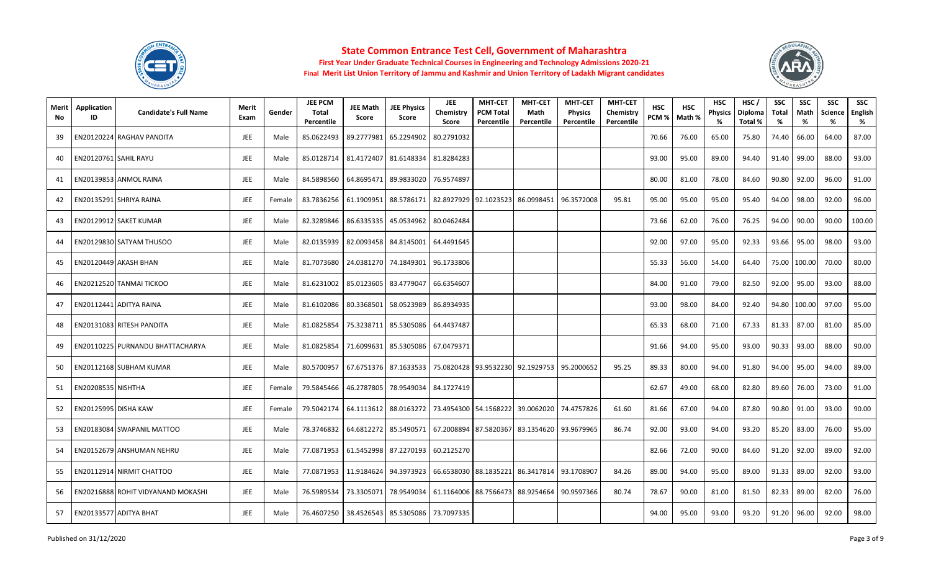



| Merit<br>No | <b>Application</b><br>ID  | <b>Candidate's Full Name</b>       | Merit<br>Exam | Gender | <b>JEE PCM</b><br>Total<br>Percentile | <b>JEE Math</b><br><b>Score</b> | <b>JEE Physics</b><br>Score | <b>JEE</b><br>Chemistry<br>Score | <b>MHT-CET</b><br><b>PCM Total</b><br>Percentile | <b>MHT-CET</b><br>Math<br>Percentile | <b>MHT-CET</b><br><b>Physics</b><br>Percentile | <b>MHT-CET</b><br>Chemistry<br>Percentile | <b>HSC</b><br>PCM % | <b>HSC</b><br>Math % | <b>HSC</b><br><b>Physics</b><br>% | HSC/<br><b>Diploma</b><br>Total % | <b>SSC</b><br><b>Total</b><br>% | <b>SSC</b><br>Math<br>% | <b>SSC</b><br><b>Science</b><br>% | <b>SSC</b><br>English<br>% |
|-------------|---------------------------|------------------------------------|---------------|--------|---------------------------------------|---------------------------------|-----------------------------|----------------------------------|--------------------------------------------------|--------------------------------------|------------------------------------------------|-------------------------------------------|---------------------|----------------------|-----------------------------------|-----------------------------------|---------------------------------|-------------------------|-----------------------------------|----------------------------|
| 39          |                           | EN20120224 RAGHAV PANDITA          | <b>JEE</b>    | Male   | 85.0622493                            | 89.2777981                      | 65.2294902                  | 80.2791032                       |                                                  |                                      |                                                |                                           | 70.66               | 76.00                | 65.00                             | 75.80                             | 74.40                           | 66.00                   | 64.00                             | 87.00                      |
| 40          |                           | EN20120761 SAHIL RAYU              | <b>JEE</b>    | Male   | 85.0128714                            | 81.4172407                      | 81.6148334                  | 81.8284283                       |                                                  |                                      |                                                |                                           | 93.00               | 95.00                | 89.00                             | 94.40                             | 91.40                           | 99.00                   | 88.00                             | 93.00                      |
| 41          |                           | EN20139853 ANMOL RAINA             | JEE           | Male   | 84.5898560                            | 64.8695471                      | 89.9833020                  | 76.9574897                       |                                                  |                                      |                                                |                                           | 80.00               | 81.00                | 78.00                             | 84.60                             | 90.80                           | 92.00                   | 96.00                             | 91.00                      |
| 42          |                           | EN20135291 SHRIYA RAINA            | <b>JEE</b>    | Female | 83.7836256                            | 61.1909951                      | 88.5786171                  | 82.8927929 92.1023523            |                                                  | 86.0998451                           | 96.3572008                                     | 95.81                                     | 95.00               | 95.00                | 95.00                             | 95.40                             | 94.00                           | 98.00                   | 92.00                             | 96.00                      |
| 43          |                           | EN20129912 SAKET KUMAR             | <b>JEE</b>    | Male   | 82.3289846                            | 86.6335335                      | 45.0534962                  | 80.0462484                       |                                                  |                                      |                                                |                                           | 73.66               | 62.00                | 76.00                             | 76.25                             | 94.00                           | 90.00                   | 90.00                             | 100.00                     |
| 44          |                           | EN20129830 SATYAM THUSOO           | <b>JEE</b>    | Male   | 82.0135939                            | 82.0093458                      | 84.8145001                  | 64.4491645                       |                                                  |                                      |                                                |                                           | 92.00               | 97.00                | 95.00                             | 92.33                             | 93.66                           | 95.00                   | 98.00                             | 93.00                      |
| 45          |                           | EN20120449 AKASH BHAN              | <b>JEE</b>    | Male   | 81.7073680                            |                                 | 24.0381270 74.1849301       | 96.1733806                       |                                                  |                                      |                                                |                                           | 55.33               | 56.00                | 54.00                             | 64.40                             |                                 | 75.00 100.00            | 70.00                             | 80.00                      |
| 46          |                           | EN20212520 TANMAI TICKOO           | <b>JEE</b>    | Male   | 81.6231002                            |                                 | 85.0123605 83.4779047       | 66.6354607                       |                                                  |                                      |                                                |                                           | 84.00               | 91.00                | 79.00                             | 82.50                             | 92.00                           | 95.00                   | 93.00                             | 88.00                      |
| 47          |                           | EN20112441 ADITYA RAINA            | <b>JEE</b>    | Male   | 81.6102086                            | 80.3368501                      | 58.0523989                  | 86.8934935                       |                                                  |                                      |                                                |                                           | 93.00               | 98.00                | 84.00                             | 92.40                             | 94.80                           | 100.00                  | 97.00                             | 95.00                      |
| 48          |                           | EN20131083 RITESH PANDITA          | <b>JEE</b>    | Male   | 81.0825854                            | 75.3238711                      | 85.5305086                  | 64.4437487                       |                                                  |                                      |                                                |                                           | 65.33               | 68.00                | 71.00                             | 67.33                             | 81.33                           | 87.00                   | 81.00                             | 85.00                      |
| 49          |                           | EN20110225 PURNANDU BHATTACHARYA   | <b>JEE</b>    | Male   | 81.0825854                            | 71.6099631                      | 85.5305086                  | 67.0479371                       |                                                  |                                      |                                                |                                           | 91.66               | 94.00                | 95.00                             | 93.00                             | 90.33                           | 93.00                   | 88.00                             | 90.00                      |
| 50          |                           | EN20112168 SUBHAM KUMAR            | <b>JEE</b>    | Male   | 80.5700957                            | 67.6751376                      | 87.1633533                  |                                  |                                                  | 75.0820428 93.9532230 92.1929753     | 95.2000652                                     | 95.25                                     | 89.33               | 80.00                | 94.00                             | 91.80                             | 94.00                           | 95.00                   | 94.00                             | 89.00                      |
| 51          | <b>EN20208535 NISHTHA</b> |                                    | <b>JEE</b>    | Female | 79.5845466                            | 46.2787805                      | 78.9549034                  | 84.1727419                       |                                                  |                                      |                                                |                                           | 62.67               | 49.00                | 68.00                             | 82.80                             | 89.60                           | 76.00                   | 73.00                             | 91.00                      |
| 52          |                           | EN20125995 DISHA KAW               | <b>JEE</b>    | Female | 79.5042174                            | 64.1113612                      | 88.0163272                  |                                  |                                                  | 73.4954300 54.1568222 39.0062020     | 74.4757826                                     | 61.60                                     | 81.66               | 67.00                | 94.00                             | 87.80                             | 90.80                           | 91.00                   | 93.00                             | 90.00                      |
| 53          |                           | EN20183084 SWAPANIL MATTOO         | <b>JEE</b>    | Male   | 78.3746832                            | 64.6812272                      | 85.5490571                  | 67.2008894 87.5820367            |                                                  | 83.1354620                           | 93.9679965                                     | 86.74                                     | 92.00               | 93.00                | 94.00                             | 93.20                             | 85.20                           | 83.00                   | 76.00                             | 95.00                      |
| 54          |                           | EN20152679 ANSHUMAN NEHRU          | <b>JEE</b>    | Male   | 77.0871953                            | 61.5452998                      | 87.2270193                  | 60.2125270                       |                                                  |                                      |                                                |                                           | 82.66               | 72.00                | 90.00                             | 84.60                             | 91.20                           | 92.00                   | 89.00                             | 92.00                      |
| 55          |                           | EN20112914 NIRMIT CHATTOO          | <b>JEE</b>    | Male   | 77.0871953                            | 11.9184624                      | 94.3973923                  | 66.6538030 88.1835221            |                                                  | 86.3417814                           | 93.1708907                                     | 84.26                                     | 89.00               | 94.00                | 95.00                             | 89.00                             | 91.33                           | 89.00                   | 92.00                             | 93.00                      |
| 56          |                           | EN20216888 ROHIT VIDYANAND MOKASHI | JEE           | Male   | 76.5989534                            | 73.3305071                      | 78.9549034                  | 61.1164006 88.7566473            |                                                  | 88.9254664                           | 90.9597366                                     | 80.74                                     | 78.67               | 90.00                | 81.00                             | 81.50                             | 82.33                           | 89.00                   | 82.00                             | 76.00                      |
| 57          |                           | EN20133577 ADITYA BHAT             | <b>JEE</b>    | Male   | 76.4607250                            |                                 | 38.4526543 85.5305086       | 73.7097335                       |                                                  |                                      |                                                |                                           | 94.00               | 95.00                | 93.00                             | 93.20                             | 91.20                           | 96.00                   | 92.00                             | 98.00                      |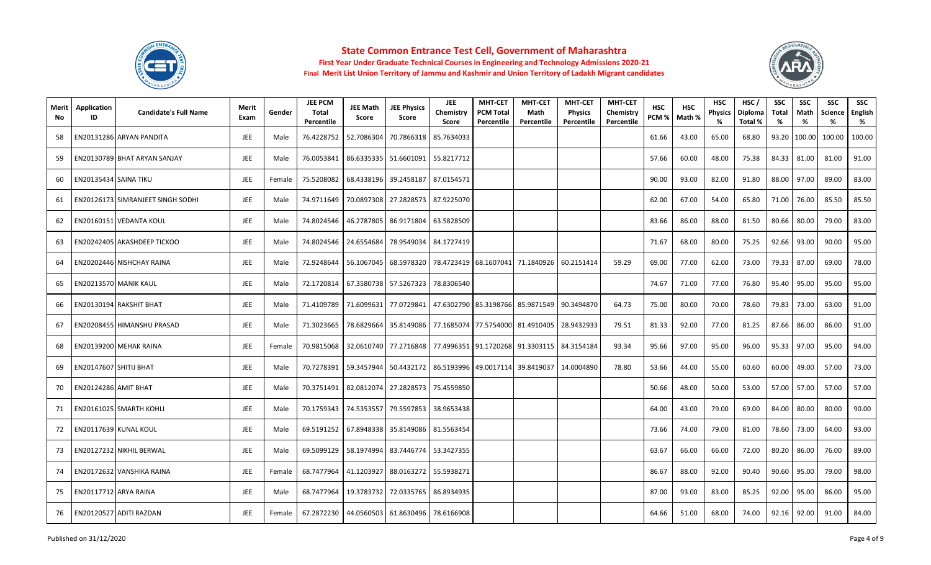



| Merit<br>No. | Application<br>ID            | <b>Candidate's Full Name</b>             | Merit<br>Exam | Gender | <b>JEE PCM</b><br><b>Total</b><br>Percentile | <b>JEE Math</b><br>Score | <b>JEE Physics</b><br>Score                       | <b>JEE</b><br>Chemistry<br>Score | <b>MHT-CET</b><br><b>PCM Total</b><br>Percentile | <b>MHT-CET</b><br>Math<br>Percentile                                        | <b>MHT-CET</b><br><b>Physics</b><br>Percentile | <b>MHT-CET</b><br>Chemistry<br>Percentile | <b>HSC</b><br>PCM % | <b>HSC</b><br>Math % | <b>HSC</b><br><b>Physics</b> | HSC/<br>Diploma<br>Total % | <b>SSC</b><br><b>Total</b><br>% | <b>SSC</b><br>Math<br>% | <b>SSC</b><br><b>Science</b><br>% | <b>SSC</b><br>English<br>% |
|--------------|------------------------------|------------------------------------------|---------------|--------|----------------------------------------------|--------------------------|---------------------------------------------------|----------------------------------|--------------------------------------------------|-----------------------------------------------------------------------------|------------------------------------------------|-------------------------------------------|---------------------|----------------------|------------------------------|----------------------------|---------------------------------|-------------------------|-----------------------------------|----------------------------|
| 58           |                              | EN20131286 ARYAN PANDITA                 | JEE           | Male   | 76.4228752                                   | 52.7086304               | 70.7866318                                        | 85.7634033                       |                                                  |                                                                             |                                                |                                           | 61.66               | 43.00                | 65.00                        | 68.80                      | 93.20                           | 100.00                  | 100.00                            | 100.00                     |
| 59           |                              | EN20130789 BHAT ARYAN SANJAY             | <b>JEE</b>    | Male   | 76.0053841                                   |                          | 86.6335335 51.6601091                             | 55.8217712                       |                                                  |                                                                             |                                                |                                           | 57.66               | 60.00                | 48.00                        | 75.38                      | 84.33                           | 81.00                   | 81.00                             | 91.00                      |
| 60           | <b>EN20135434 SAINA TIKU</b> |                                          | JEE           | Female | 75.5208082                                   |                          | 68.4338196 39.2458187                             | 87.0154571                       |                                                  |                                                                             |                                                |                                           | 90.00               | 93.00                | 82.00                        | 91.80                      | 88.00                           | 97.00                   | 89.00                             | 83.00                      |
| 61           |                              | <b>EN20126173 SIMRANJEET SINGH SODHI</b> | <b>JEE</b>    | Male   | 74.9711649                                   |                          | 70.0897308 27.2828573 87.9225070                  |                                  |                                                  |                                                                             |                                                |                                           | 62.00               | 67.00                | 54.00                        | 65.80                      | 71.00                           | 76.00                   | 85.50                             | 85.50                      |
| 62           |                              | EN20160151 VEDANTA KOUL                  | JEE           | Male   | 74.8024546                                   |                          | 46.2787805 86.9171804                             | 63.5828509                       |                                                  |                                                                             |                                                |                                           | 83.66               | 86.00                | 88.00                        | 81.50                      | 80.66                           | 80.00                   | 79.00                             | 83.00                      |
| 63           |                              | EN20242405 AKASHDEEP TICKOO              | <b>JEE</b>    | Male   | 74.8024546                                   | 24.6554684               | 78.9549034                                        | 84.1727419                       |                                                  |                                                                             |                                                |                                           | 71.67               | 68.00                | 80.00                        | 75.25                      | 92.66                           | 93.00                   | 90.00                             | 95.00                      |
| 64           |                              | EN20202446 NISHCHAY RAINA                | <b>JEE</b>    | Male   | 72.9248644                                   |                          | 56.1067045 68.5978320                             |                                  |                                                  | 78.4723419 68.1607041 71.1840926                                            | 60.2151414                                     | 59.29                                     | 69.00               | 77.00                | 62.00                        | 73.00                      | 79.33                           | 87.00                   | 69.00                             | 78.00                      |
| 65           |                              | EN20213570 MANIK KAUL                    | JEE           | Male   |                                              |                          | 72.1720814 67.3580738 57.5267323                  | 78.8306540                       |                                                  |                                                                             |                                                |                                           | 74.67               | 71.00                | 77.00                        | 76.80                      | 95.40                           | 95.00                   | 95.00                             | 95.00                      |
| 66           |                              | EN20130194 RAKSHIT BHAT                  | JEE           | Male   | 71.4109789                                   | 71.6099631               | 77.0729841                                        |                                  |                                                  | 47.6302790 85.3198766 85.9871549                                            | 90.3494870                                     | 64.73                                     | 75.00               | 80.00                | 70.00                        | 78.60                      | 79.83                           | 73.00                   | 63.00                             | 91.00                      |
| 67           |                              | EN20208455 HIMANSHU PRASAD               | <b>JEE</b>    | Male   | 71.3023665                                   | 78.6829664               | 35.8149086                                        |                                  |                                                  | 77.1685074 77.5754000 81.4910405                                            | 28.9432933                                     | 79.51                                     | 81.33               | 92.00                | 77.00                        | 81.25                      | 87.66                           | 86.00                   | 86.00                             | 91.00                      |
| 68           |                              | EN20139200 MEHAK RAINA                   | <b>JEE</b>    | Female | 70.9815068                                   |                          |                                                   |                                  |                                                  | 32.0610740   77.2716848   77.4996351   91.1720268   91.3303115   84.3154184 |                                                | 93.34                                     | 95.66               | 97.00                | 95.00                        | 96.00                      | 95.33                           | 97.00                   | 95.00                             | 94.00                      |
| 69           | EN20147607 SHITIJ BHAT       |                                          | JEE           | Male   | 70.7278391                                   | 59.3457944               | 50.4432172   86.5193996   49.0017114   39.8419037 |                                  |                                                  |                                                                             | 14.0004890                                     | 78.80                                     | 53.66               | 44.00                | 55.00                        | 60.60                      | 60.00                           | 49.00                   | 57.00                             | 73.00                      |
| 70           | <b>EN20124286 AMIT BHAT</b>  |                                          | JEE           | Male   | 70.3751491                                   |                          | 82.0812074 27.2828573                             | 75.4559850                       |                                                  |                                                                             |                                                |                                           | 50.66               | 48.00                | 50.00                        | 53.00                      | 57.00                           | 57.00                   | 57.00                             | 57.00                      |
| 71           |                              | EN20161025 SMARTH KOHLI                  | JEE           | Male   | 70.1759343                                   |                          | 74.5353557 79.5597853                             | 38.9653438                       |                                                  |                                                                             |                                                |                                           | 64.00               | 43.00                | 79.00                        | 69.00                      | 84.00                           | 80.00                   | 80.00                             | 90.00                      |
| 72           |                              | EN20117639 KUNAL KOUL                    | JEE           | Male   | 69.5191252                                   |                          | 67.8948338 35.8149086                             | 81.5563454                       |                                                  |                                                                             |                                                |                                           | 73.66               | 74.00                | 79.00                        | 81.00                      | 78.60                           | 73.00                   | 64.00                             | 93.00                      |
| 73           |                              | EN20127232 NIKHIL BERWAL                 | <b>JEE</b>    | Male   | 69.5099129                                   | 58.1974994               | 83.7446774                                        | 53.3427355                       |                                                  |                                                                             |                                                |                                           | 63.67               | 66.00                | 66.00                        | 72.00                      | 80.20                           | 86.00                   | 76.00                             | 89.00                      |
| 74           |                              | EN20172632 VANSHIKA RAINA                | JEE           | Female | 68.7477964                                   |                          | 41.1203927 88.0163272                             | 55.5938271                       |                                                  |                                                                             |                                                |                                           | 86.67               | 88.00                | 92.00                        | 90.40                      | 90.60                           | 95.00                   | 79.00                             | 98.00                      |
| 75           |                              | EN20117712 ARYA RAINA                    | <b>JEE</b>    | Male   | 68.7477964                                   |                          | 19.3783732 72.0335765                             | 86.8934935                       |                                                  |                                                                             |                                                |                                           | 87.00               | 93.00                | 83.00                        | 85.25                      | 92.00                           | 95.00                   | 86.00                             | 95.00                      |
| 76           |                              | EN20120527 ADITI RAZDAN                  | <b>JEE</b>    | Female | 67.2872230                                   |                          | 44.0560503 61.8630496 78.6166908                  |                                  |                                                  |                                                                             |                                                |                                           | 64.66               | 51.00                | 68.00                        | 74.00                      | 92.16                           | 92.00                   | 91.00                             | 84.00                      |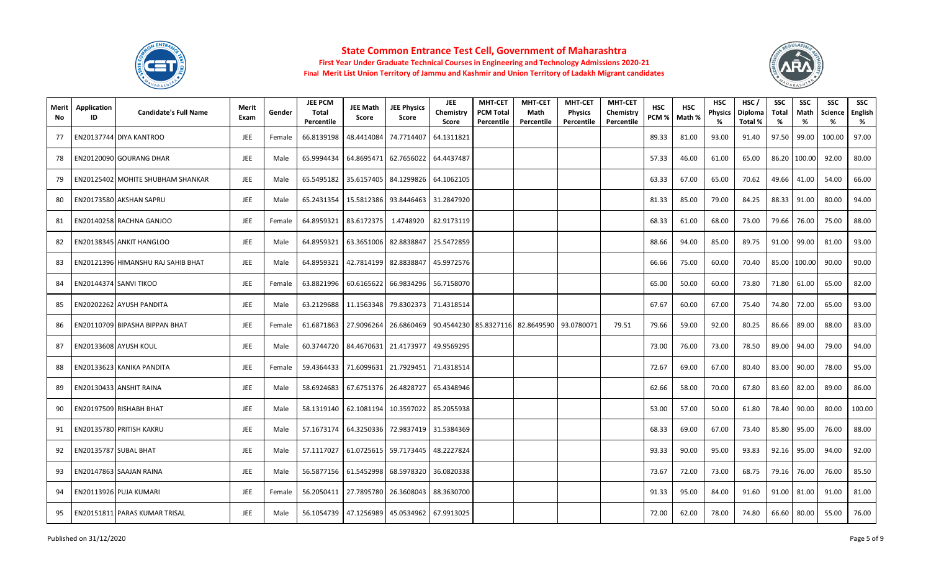



| Merit<br>No | Application<br>ID | <b>Candidate's Full Name</b>       | Merit<br>Exam | Gender | <b>JEE PCM</b><br><b>Total</b><br>Percentile | <b>JEE Math</b><br>Score | <b>JEE Physics</b><br>Score | <b>JEE</b><br>Chemistry<br>Score | <b>MHT-CET</b><br><b>PCM Total</b><br>Percentile | <b>MHT-CET</b><br>Math<br>Percentile | <b>MHT-CET</b><br><b>Physics</b><br>Percentile | <b>MHT-CET</b><br>Chemistry<br>Percentile | <b>HSC</b><br>PCM% | <b>HSC</b><br>Math % | <b>HSC</b><br><b>Physics</b> | HSC/<br><b>Diploma</b><br>Total % | SSC<br><b>Total</b><br>% | <b>SSC</b><br>Math<br>% | <b>SSC</b><br>Science<br>% | <b>SSC</b><br>English<br>% |
|-------------|-------------------|------------------------------------|---------------|--------|----------------------------------------------|--------------------------|-----------------------------|----------------------------------|--------------------------------------------------|--------------------------------------|------------------------------------------------|-------------------------------------------|--------------------|----------------------|------------------------------|-----------------------------------|--------------------------|-------------------------|----------------------------|----------------------------|
| 77          |                   | EN20137744 DIYA KANTROO            | JEE           | Female | 66.8139198                                   | 48.4414084               | 74.7714407                  | 64.1311821                       |                                                  |                                      |                                                |                                           | 89.33              | 81.00                | 93.00                        | 91.40                             | 97.50                    | 99.00                   | 100.00                     | 97.00                      |
| 78          |                   | EN20120090 GOURANG DHAR            | <b>JEE</b>    | Male   | 65.9994434                                   | 64.8695471               | 62.7656022                  | 64.4437487                       |                                                  |                                      |                                                |                                           | 57.33              | 46.00                | 61.00                        | 65.00                             | 86.20                    | 100.00                  | 92.00                      | 80.00                      |
| 79          |                   | EN20125402 MOHITE SHUBHAM SHANKAR  | <b>JEE</b>    | Male   | 65.5495182                                   | 35.6157405               | 84.1299826                  | 64.1062105                       |                                                  |                                      |                                                |                                           | 63.33              | 67.00                | 65.00                        | 70.62                             | 49.66                    | 41.00                   | 54.00                      | 66.00                      |
| 80          |                   | EN20173580 AKSHAN SAPRU            | <b>JEE</b>    | Male   | 65.2431354                                   |                          | 15.5812386 93.8446463       | 31.2847920                       |                                                  |                                      |                                                |                                           | 81.33              | 85.00                | 79.00                        | 84.25                             |                          | 88.33 91.00             | 80.00                      | 94.00                      |
| 81          |                   | EN20140258 RACHNA GANJOO           | JEE           | Female | 64.8959321                                   | 83.6172375               | 1.4748920                   | 82.9173119                       |                                                  |                                      |                                                |                                           | 68.33              | 61.00                | 68.00                        | 73.00                             | 79.66                    | 76.00                   | 75.00                      | 88.00                      |
| 82          |                   | EN20138345 ANKIT HANGLOO           | JEE           | Male   | 64.8959321                                   | 63.3651006               | 82.8838847                  | 25.5472859                       |                                                  |                                      |                                                |                                           | 88.66              | 94.00                | 85.00                        | 89.75                             | 91.00                    | 99.00                   | 81.00                      | 93.00                      |
| 83          |                   | EN20121396 HIMANSHU RAJ SAHIB BHAT | <b>JEE</b>    | Male   | 64.8959321                                   |                          | 42.7814199 82.8838847       | 45.9972576                       |                                                  |                                      |                                                |                                           | 66.66              | 75.00                | 60.00                        | 70.40                             | 85.00                    | 100.00                  | 90.00                      | 90.00                      |
| 84          |                   | EN20144374 SANVI TIKOO             | JEE           | Female | 63.8821996                                   | 60.6165622               | 66.9834296                  | 56.7158070                       |                                                  |                                      |                                                |                                           | 65.00              | 50.00                | 60.00                        | 73.80                             | 71.80                    | 61.00                   | 65.00                      | 82.00                      |
| 85          |                   | EN20202262 AYUSH PANDITA           | <b>JEE</b>    | Male   | 63.2129688                                   | 11.1563348               | 79.8302373                  | 71.4318514                       |                                                  |                                      |                                                |                                           | 67.67              | 60.00                | 67.00                        | 75.40                             | 74.80                    | 72.00                   | 65.00                      | 93.00                      |
| 86          |                   | EN20110709 BIPASHA BIPPAN BHAT     | JEE           | Female | 61.6871863                                   | 27.9096264               | 26.6860469                  |                                  |                                                  | 90.4544230 85.8327116 82.8649590     | 93.0780071                                     | 79.51                                     | 79.66              | 59.00                | 92.00                        | 80.25                             | 86.66                    | 89.00                   | 88.00                      | 83.00                      |
| 87          |                   | EN20133608 AYUSH KOUL              | <b>JEE</b>    | Male   | 60.3744720                                   |                          | 84.4670631 21.4173977       | 49.9569295                       |                                                  |                                      |                                                |                                           | 73.00              | 76.00                | 73.00                        | 78.50                             | 89.00                    | 94.00                   | 79.00                      | 94.00                      |
| 88          |                   | EN20133623 KANIKA PANDITA          | JEE           | Female | 59.4364433                                   | 71.6099631               | 21.7929451                  | 71.4318514                       |                                                  |                                      |                                                |                                           | 72.67              | 69.00                | 67.00                        | 80.40                             | 83.00                    | 90.00                   | 78.00                      | 95.00                      |
| 89          |                   | EN20130433 ANSHIT RAINA            | JEE           | Male   | 58.6924683                                   |                          | 67.6751376 26.4828727       | 65.4348946                       |                                                  |                                      |                                                |                                           | 62.66              | 58.00                | 70.00                        | 67.80                             | 83.60                    | 82.00                   | 89.00                      | 86.00                      |
| 90          |                   | EN20197509 RISHABH BHAT            | <b>JEE</b>    | Male   | 58.1319140                                   |                          | 62.1081194 10.3597022       | 85.2055938                       |                                                  |                                      |                                                |                                           | 53.00              | 57.00                | 50.00                        | 61.80                             | 78.40                    | 90.00                   | 80.00                      | 100.00                     |
| 91          |                   | EN20135780 PRITISH KAKRU           | JEE           | Male   | 57.1673174                                   |                          | 64.3250336 72.9837419       | 31.5384369                       |                                                  |                                      |                                                |                                           | 68.33              | 69.00                | 67.00                        | 73.40                             | 85.80                    | 95.00                   | 76.00                      | 88.00                      |
| 92          |                   | EN20135787 SUBAL BHAT              | <b>JEE</b>    | Male   | 57.1117027                                   | 61.0725615               | 59.7173445                  | 48.2227824                       |                                                  |                                      |                                                |                                           | 93.33              | 90.00                | 95.00                        | 93.83                             | 92.16                    | 95.00                   | 94.00                      | 92.00                      |
| 93          |                   | EN20147863 SAAJAN RAINA            | JEE           | Male   |                                              | 56.5877156 61.5452998    | 68.5978320                  | 36.0820338                       |                                                  |                                      |                                                |                                           | 73.67              | 72.00                | 73.00                        | 68.75                             | 79.16                    | 76.00                   | 76.00                      | 85.50                      |
| 94          |                   | EN20113926 PUJA KUMARI             | <b>JEE</b>    | Female | 56.2050411                                   |                          | 27.7895780 26.3608043       | 88.3630700                       |                                                  |                                      |                                                |                                           | 91.33              | 95.00                | 84.00                        | 91.60                             | 91.00                    | 81.00                   | 91.00                      | 81.00                      |
| 95          |                   | EN20151811 PARAS KUMAR TRISAL      | <b>JEE</b>    | Male   | 56.1054739                                   |                          | 47.1256989 45.0534962       | 67.9913025                       |                                                  |                                      |                                                |                                           | 72.00              | 62.00                | 78.00                        | 74.80                             | 66.60                    | 80.00                   | 55.00                      | 76.00                      |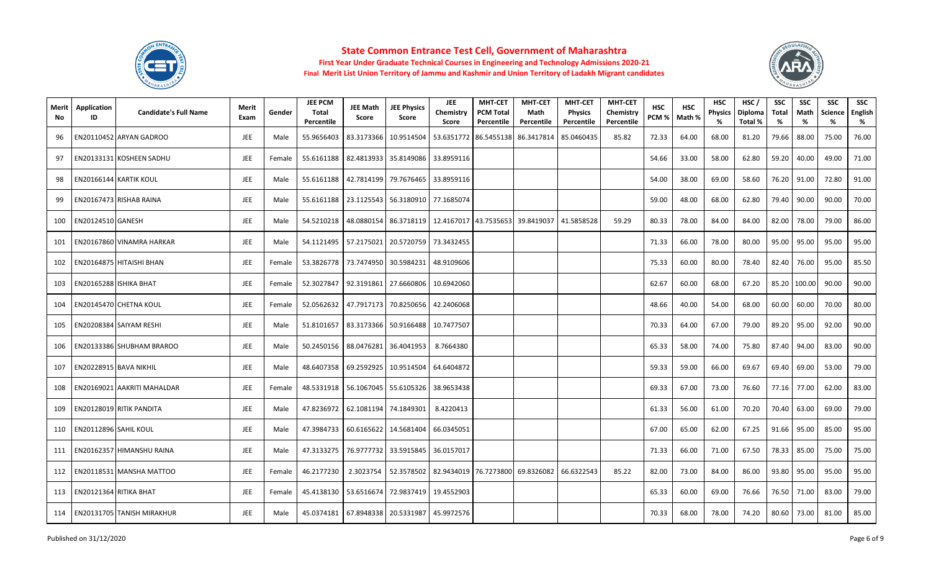



| Merit<br>No | Application<br>ID        | <b>Candidate's Full Name</b>      | Merit<br>Exam | Gender | <b>JEE PCM</b><br>Total<br>Percentile | <b>JEE Math</b><br>Score | <b>JEE Physics</b><br>Score          | <b>JEE</b><br>Chemistry<br>Score | <b>MHT-CET</b><br><b>PCM Total</b><br>Percentile | <b>MHT-CET</b><br>Math<br>Percentile                           | <b>MHT-CET</b><br><b>Physics</b><br>Percentile | <b>MHT-CET</b><br>Chemistry<br>Percentile | <b>HSC</b><br>PCM % | <b>HSC</b><br>Math % | <b>HSC</b><br><b>Physics</b><br>% | HSC/<br>Diploma<br>Total % | <b>SSC</b><br>Total<br>% | <b>SSC</b><br>Math<br>% | <b>SSC</b><br><b>Science</b><br>% | <b>SSC</b><br>English<br>% |
|-------------|--------------------------|-----------------------------------|---------------|--------|---------------------------------------|--------------------------|--------------------------------------|----------------------------------|--------------------------------------------------|----------------------------------------------------------------|------------------------------------------------|-------------------------------------------|---------------------|----------------------|-----------------------------------|----------------------------|--------------------------|-------------------------|-----------------------------------|----------------------------|
| 96          |                          | EN20110452 ARYAN GADROO           | JEE           | Male   | 55.9656403                            |                          | 83.3173366 10.9514504                |                                  |                                                  | 53.6351772 86.5455138 86.3417814                               | 85.0460435                                     | 85.82                                     | 72.33               | 64.00                | 68.00                             | 81.20                      | 79.66                    | 88.00                   | 75.00                             | 76.00                      |
| 97          |                          | EN20133131 KOSHEEN SADHU          | JEE           | Female | 55.6161188                            |                          | 82.4813933 35.8149086                | 33.8959116                       |                                                  |                                                                |                                                |                                           | 54.66               | 33.00                | 58.00                             | 62.80                      | 59.20                    | 40.00                   | 49.00                             | 71.00                      |
| 98          |                          | EN20166144 KARTIK KOUL            | JEE           | Male   | 55.6161188                            |                          | 42.7814199 79.7676465                | 33.8959116                       |                                                  |                                                                |                                                |                                           | 54.00               | 38.00                | 69.00                             | 58.60                      | 76.20                    | 91.00                   | 72.80                             | 91.00                      |
| 99          |                          | EN20167473 RISHAB RAINA           | JEE           | Male   | 55.6161188                            |                          | 23.1125543 56.3180910 77.1685074     |                                  |                                                  |                                                                |                                                |                                           | 59.00               | 48.00                | 68.00                             | 62.80                      | 79.40                    | 90.00                   | 90.00                             | 70.00                      |
| 100         | <b>EN20124510 GANESH</b> |                                   | <b>JEE</b>    | Male   | 54.5210218                            |                          |                                      |                                  |                                                  | 48.0880154   86.3718119   12.4167017   43.7535653   39.8419037 | 41.5858528                                     | 59.29                                     | 80.33               | 78.00                | 84.00                             | 84.00                      | 82.00                    | 78.00                   | 79.00                             | 86.00                      |
| 101         |                          | EN20167860 VINAMRA HARKAR         | JEE           | Male   | 54.1121495                            |                          | 57.2175021 20.5720759 73.3432455     |                                  |                                                  |                                                                |                                                |                                           | 71.33               | 66.00                | 78.00                             | 80.00                      | 95.00                    | 95.00                   | 95.00                             | 95.00                      |
| 102         |                          | EN20164875 HITAISHI BHAN          | JEE           | Female | 53.3826778                            |                          | 73.7474950 30.5984231                | 48.9109606                       |                                                  |                                                                |                                                |                                           | 75.33               | 60.00                | 80.00                             | 78.40                      | 82.40                    | 76.00                   | 95.00                             | 85.50                      |
| 103         |                          | EN20165288 ISHIKA BHAT            | JEE           | Female | 52.3027847                            |                          | 92.3191861 27.6660806                | 10.6942060                       |                                                  |                                                                |                                                |                                           | 62.67               | 60.00                | 68.00                             | 67.20                      | 85.20                    | 100.00                  | 90.00                             | 90.00                      |
| 104         |                          | EN20145470 CHETNA KOUL            | JEE           | Female | 52.0562632                            |                          | 47.7917173 70.8250656                | 42.2406068                       |                                                  |                                                                |                                                |                                           | 48.66               | 40.00                | 54.00                             | 68.00                      | 60.00                    | 60.00                   | 70.00                             | 80.00                      |
| 105         |                          | EN20208384 SAIYAM RESHI           | <b>JEE</b>    | Male   | 51.8101657                            |                          | 83.3173366 50.9166488                | 10.7477507                       |                                                  |                                                                |                                                |                                           | 70.33               | 64.00                | 67.00                             | 79.00                      | 89.20                    | 95.00                   | 92.00                             | 90.00                      |
| 106         |                          | EN20133386 SHUBHAM BRAROO         | JEE           | Male   |                                       |                          | 50.2450156   88.0476281   36.4041953 | 8.7664380                        |                                                  |                                                                |                                                |                                           | 65.33               | 58.00                | 74.00                             | 75.80                      | 87.40                    | 94.00                   | 83.00                             | 90.00                      |
| 107         |                          | EN20228915 BAVA NIKHIL            | <b>JEE</b>    | Male   | 48.6407358                            |                          | 69.2592925 10.9514504                | 64.6404872                       |                                                  |                                                                |                                                |                                           | 59.33               | 59.00                | 66.00                             | 69.67                      | 69.40                    | 69.00                   | 53.00                             | 79.00                      |
| 108         |                          | EN20169021 AAKRITI MAHALDAR       | <b>JEE</b>    | Female | 48.5331918                            |                          | 56.1067045 55.6105326                | 38.9653438                       |                                                  |                                                                |                                                |                                           | 69.33               | 67.00                | 73.00                             | 76.60                      | 77.16                    | 77.00                   | 62.00                             | 83.00                      |
| 109         |                          | EN20128019 RITIK PANDITA          | <b>JEE</b>    | Male   |                                       |                          | 47.8236972 62.1081194 74.1849301     | 8.4220413                        |                                                  |                                                                |                                                |                                           | 61.33               | 56.00                | 61.00                             | 70.20                      | 70.40                    | 63.00                   | 69.00                             | 79.00                      |
| 110         | EN20112896 SAHIL KOUL    |                                   | JEE           | Male   | 47.3984733                            |                          | 60.6165622 14.5681404                | 66.0345051                       |                                                  |                                                                |                                                |                                           | 67.00               | 65.00                | 62.00                             | 67.25                      | 91.66                    | 95.00                   | 85.00                             | 95.00                      |
| 111         |                          | EN20162357 HIMANSHU RAINA         | <b>JEE</b>    | Male   | 47.3133275                            |                          | 76.9777732 33.5915845                | 36.0157017                       |                                                  |                                                                |                                                |                                           | 71.33               | 66.00                | 71.00                             | 67.50                      | 78.33                    | 85.00                   | 75.00                             | 75.00                      |
| 112         |                          | EN20118531 MANSHA MATTOO          | JEE           | Female | 46.2177230                            | 2.3023754                | 52.3578502                           |                                  |                                                  | 82.9434019 76.7273800 69.8326082                               | 66.6322543                                     | 85.22                                     | 82.00               | 73.00                | 84.00                             | 86.00                      | 93.80                    | 95.00                   | 95.00                             | 95.00                      |
| 113         |                          | EN20121364 RITIKA BHAT            | JEE           | Female | 45.4138130                            | 53.6516674               | 72.9837419                           | 19.4552903                       |                                                  |                                                                |                                                |                                           | 65.33               | 60.00                | 69.00                             | 76.66                      | 76.50                    | 71.00                   | 83.00                             | 79.00                      |
| 114         |                          | <b>EN20131705 TANISH MIRAKHUR</b> | <b>JEE</b>    | Male   |                                       |                          | 45.0374181 67.8948338 20.5331987     | 45.9972576                       |                                                  |                                                                |                                                |                                           | 70.33               | 68.00                | 78.00                             | 74.20                      | 80.60                    | 73.00                   | 81.00                             | 85.00                      |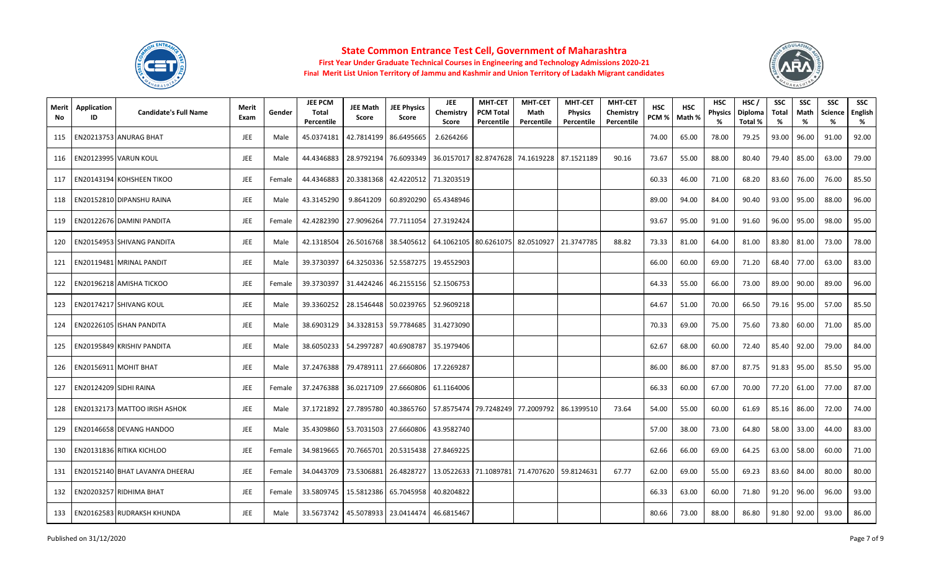



| Merit<br>No. | Application<br>ID | <b>Candidate's Full Name</b>         | Merit<br>Exam | Gender | <b>JEE PCM</b><br>Total<br>Percentile | <b>JEE Math</b><br>Score | <b>JEE Physics</b><br>Score                            | JEE<br>Chemistry<br>Score | <b>MHT-CET</b><br><b>PCM Total</b><br>Percentile | <b>MHT-CET</b><br>Math<br>Percentile                                         | <b>MHT-CET</b><br><b>Physics</b><br>Percentile | <b>MHT-CET</b><br>Chemistry<br>Percentile | <b>HSC</b><br>PCM % | <b>HSC</b><br>Math % | <b>HSC</b><br><b>Physics</b><br>% | HSC/<br>Diploma<br>Total % | <b>SSC</b><br>Total<br>% | <b>SSC</b><br>Math<br>% | <b>SSC</b><br><b>Science</b><br>% | <b>SSC</b><br>English<br>% |
|--------------|-------------------|--------------------------------------|---------------|--------|---------------------------------------|--------------------------|--------------------------------------------------------|---------------------------|--------------------------------------------------|------------------------------------------------------------------------------|------------------------------------------------|-------------------------------------------|---------------------|----------------------|-----------------------------------|----------------------------|--------------------------|-------------------------|-----------------------------------|----------------------------|
| 115          |                   | EN20213753 ANURAG BHAT               | <b>JEE</b>    | Male   | 45.0374181                            |                          | 42.7814199 86.6495665                                  | 2.6264266                 |                                                  |                                                                              |                                                |                                           | 74.00               | 65.00                | 78.00                             | 79.25                      | 93.00                    | 96.00                   | 91.00                             | 92.00                      |
| 116          |                   | EN20123995 VARUN KOUL                | JEE           | Male   | 44.4346883                            | 28.9792194               | 76.6093349                                             |                           |                                                  | 36.0157017 82.8747628 74.1619228                                             | 87.1521189                                     | 90.16                                     | 73.67               | 55.00                | 88.00                             | 80.40                      | 79.40                    | 85.00                   | 63.00                             | 79.00                      |
| 117          |                   | EN20143194 KOHSHEEN TIKOO            | JEE           | Female | 44.4346883                            |                          | 20.3381368 42.4220512                                  | 71.3203519                |                                                  |                                                                              |                                                |                                           | 60.33               | 46.00                | 71.00                             | 68.20                      | 83.60                    | 76.00                   | 76.00                             | 85.50                      |
| 118          |                   | EN20152810 DIPANSHU RAINA            | JEE           | Male   | 43.3145290                            | 9.8641209                | 60.8920290                                             | 65.4348946                |                                                  |                                                                              |                                                |                                           | 89.00               | 94.00                | 84.00                             | 90.40                      | 93.00                    | 95.00                   | 88.00                             | 96.00                      |
| 119          |                   | EN20122676 DAMINI PANDITA            | JEE           | Female | 42.4282390                            |                          | 27.9096264 77.7111054                                  | 27.3192424                |                                                  |                                                                              |                                                |                                           | 93.67               | 95.00                | 91.00                             | 91.60                      | 96.00                    | 95.00                   | 98.00                             | 95.00                      |
| 120          |                   | EN20154953 SHIVANG PANDITA           | JEE           | Male   | 42.1318504                            |                          | 26.5016768 38.5405612 64.1062105 80.6261075 82.0510927 |                           |                                                  |                                                                              | 21.3747785                                     | 88.82                                     | 73.33               | 81.00                | 64.00                             | 81.00                      | 83.80                    | 81.00                   | 73.00                             | 78.00                      |
| 121          |                   | EN20119481 MRINAL PANDIT             | JEE           | Male   | 39.3730397                            |                          | 64.3250336 52.5587275 19.4552903                       |                           |                                                  |                                                                              |                                                |                                           | 66.00               | 60.00                | 69.00                             | 71.20                      | 68.40                    | 77.00                   | 63.00                             | 83.00                      |
| 122          |                   | EN20196218 AMISHA TICKOO             | JEE           | Female | 39.3730397                            |                          | 31.4424246 46.2155156 52.1506753                       |                           |                                                  |                                                                              |                                                |                                           | 64.33               | 55.00                | 66.00                             | 73.00                      | 89.00                    | 90.00                   | 89.00                             | 96.00                      |
| 123          |                   | EN20174217 SHIVANG KOUL              | JEE           | Male   | 39.3360252                            |                          | 28.1546448 50.0239765                                  | 52.9609218                |                                                  |                                                                              |                                                |                                           | 64.67               | 51.00                | 70.00                             | 66.50                      | 79.16                    | 95.00                   | 57.00                             | 85.50                      |
| 124          |                   | EN20226105 ISHAN PANDITA             | <b>JEE</b>    | Male   | 38.6903129                            |                          | 34.3328153 59.7784685                                  | 31.4273090                |                                                  |                                                                              |                                                |                                           | 70.33               | 69.00                | 75.00                             | 75.60                      | 73.80                    | 60.00                   | 71.00                             | 85.00                      |
| 125          |                   | EN20195849 KRISHIV PANDITA           | JEE           | Male   |                                       |                          | 38.6050233   54.2997287   40.6908787                   | 35.1979406                |                                                  |                                                                              |                                                |                                           | 62.67               | 68.00                | 60.00                             | 72.40                      | 85.40                    | 92.00                   | 79.00                             | 84.00                      |
| 126          |                   | EN20156911 MOHIT BHAT                | <b>JEE</b>    | Male   | 37.2476388                            |                          | 79.4789111 27.6660806                                  | 17.2269287                |                                                  |                                                                              |                                                |                                           | 86.00               | 86.00                | 87.00                             | 87.75                      | 91.83                    | 95.00                   | 85.50                             | 95.00                      |
| 127          |                   | EN20124209 SIDHI RAINA               | <b>JEE</b>    | Female | 37.2476388                            |                          | 36.0217109 27.6660806                                  | 61.1164006                |                                                  |                                                                              |                                                |                                           | 66.33               | 60.00                | 67.00                             | 70.00                      | 77.20                    | 61.00                   | 77.00                             | 87.00                      |
| 128          |                   | <b>EN20132173 MATTOO IRISH ASHOK</b> | <b>JEE</b>    | Male   |                                       |                          |                                                        |                           |                                                  | 37.1721892 27.7895780 40.3865760 57.8575474 79.7248249 77.2009792 86.1399510 |                                                | 73.64                                     | 54.00               | 55.00                | 60.00                             | 61.69                      | 85.16                    | 86.00                   | 72.00                             | 74.00                      |
| 129          |                   | EN20146658 DEVANG HANDOO             | JEE           | Male   | 35.4309860                            |                          | 53.7031503 27.6660806                                  | 43.9582740                |                                                  |                                                                              |                                                |                                           | 57.00               | 38.00                | 73.00                             | 64.80                      | 58.00                    | 33.00                   | 44.00                             | 83.00                      |
| 130          |                   | EN20131836 RITIKA KICHLOO            | <b>JEE</b>    | Female | 34.9819665                            | 70.7665701               | 20.5315438                                             | 27.8469225                |                                                  |                                                                              |                                                |                                           | 62.66               | 66.00                | 69.00                             | 64.25                      | 63.00                    | 58.00                   | 60.00                             | 71.00                      |
| 131          |                   | EN20152140 BHAT LAVANYA DHEERAJ      | JEE           | Female | 34.0443709                            | 73.5306881               | 26.4828727                                             |                           |                                                  | 13.0522633 71.1089781 71.4707620 59.8124631                                  |                                                | 67.77                                     | 62.00               | 69.00                | 55.00                             | 69.23                      | 83.60                    | 84.00                   | 80.00                             | 80.00                      |
| 132          |                   | EN20203257 RIDHIMA BHAT              | JEE           | Female | 33.5809745                            |                          | 15.5812386 65.7045958                                  | 40.8204822                |                                                  |                                                                              |                                                |                                           | 66.33               | 63.00                | 60.00                             | 71.80                      | 91.20                    | 96.00                   | 96.00                             | 93.00                      |
| 133          |                   | EN20162583 RUDRAKSH KHUNDA           | <b>JEE</b>    | Male   |                                       |                          | 33.5673742   45.5078933   23.0414474                   | 46.6815467                |                                                  |                                                                              |                                                |                                           | 80.66               | 73.00                | 88.00                             | 86.80                      | 91.80                    | 92.00                   | 93.00                             | 86.00                      |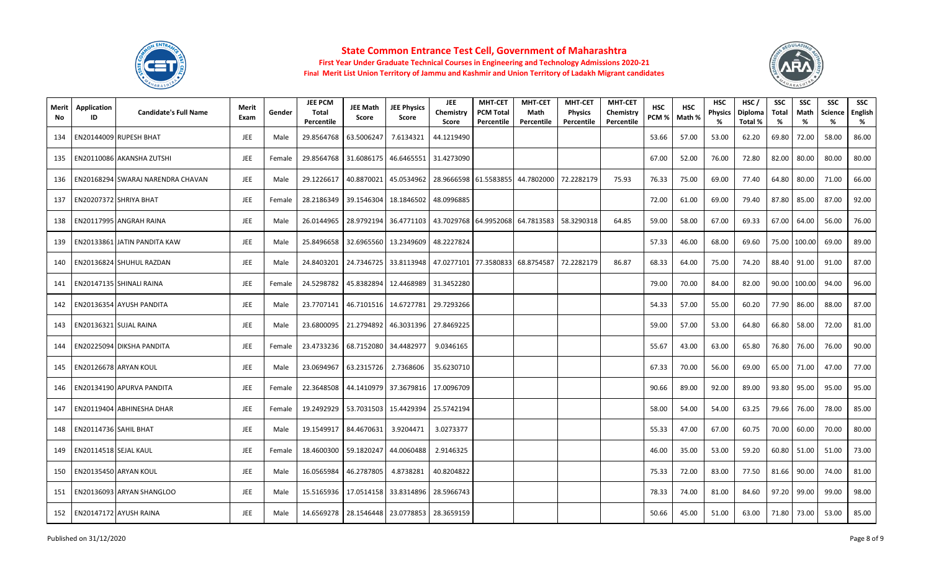



| Merit<br>No | Application<br>ID            | <b>Candidate's Full Name</b>      | Merit<br>Exam | Gender | <b>JEE PCM</b><br>Total<br>Percentile | <b>JEE Math</b><br>Score         | <b>JEE Physics</b><br>Score      | JEE<br>Chemistry<br>Score | <b>MHT-CET</b><br><b>PCM Total</b><br>Percentile | <b>MHT-CET</b><br>Math<br>Percentile | <b>MHT-CET</b><br><b>Physics</b><br>Percentile | <b>MHT-CET</b><br>Chemistry<br>Percentile | <b>HSC</b><br>PCM % | <b>HSC</b><br>Math % | <b>HSC</b><br><b>Physics</b><br>% | HSC/<br>Diploma<br>Total % | <b>SSC</b><br>Total<br>% | <b>SSC</b><br>Math<br>% | <b>SSC</b><br><b>Science</b><br>% | <b>SSC</b><br>English<br>% |
|-------------|------------------------------|-----------------------------------|---------------|--------|---------------------------------------|----------------------------------|----------------------------------|---------------------------|--------------------------------------------------|--------------------------------------|------------------------------------------------|-------------------------------------------|---------------------|----------------------|-----------------------------------|----------------------------|--------------------------|-------------------------|-----------------------------------|----------------------------|
| 134         |                              | EN20144009 RUPESH BHAT            | JEE           | Male   | 29.8564768                            | 63.5006247                       | 7.6134321                        | 44.1219490                |                                                  |                                      |                                                |                                           | 53.66               | 57.00                | 53.00                             | 62.20                      | 69.80                    | 72.00                   | 58.00                             | 86.00                      |
| 135         |                              | EN20110086 AKANSHA ZUTSHI         | <b>JEE</b>    | Female |                                       |                                  | 29.8564768 31.6086175 46.6465551 | 31.4273090                |                                                  |                                      |                                                |                                           | 67.00               | 52.00                | 76.00                             | 72.80                      | 82.00                    | 80.00                   | 80.00                             | 80.00                      |
| 136         |                              | EN20168294 SWARAJ NARENDRA CHAVAN | JEE           | Male   | 29.1226617                            | 40.8870021                       | 45.0534962                       |                           |                                                  | 28.9666598 61.5583855 44.7802000     | 72.2282179                                     | 75.93                                     | 76.33               | 75.00                | 69.00                             | 77.40                      | 64.80                    | 80.00                   | 71.00                             | 66.00                      |
| 137         |                              | EN20207372 SHRIYA BHAT            | JEE           | Female | 28.2186349                            | 39.1546304                       | 18.1846502                       | 48.0996885                |                                                  |                                      |                                                |                                           | 72.00               | 61.00                | 69.00                             | 79.40                      | 87.80                    | 85.00                   | 87.00                             | 92.00                      |
| 138         |                              | <b>EN20117995 ANGRAH RAINA</b>    | JEE           | Male   | 26.0144965                            |                                  | 28.9792194 36.4771103            |                           |                                                  | 43.7029768 64.9952068 64.7813583     | 58.3290318                                     | 64.85                                     | 59.00               | 58.00                | 67.00                             | 69.33                      | 67.00                    | 64.00                   | 56.00                             | 76.00                      |
| 139         |                              | EN20133861 JATIN PANDITA KAW      | JEE           | Male   | 25.8496658                            |                                  | 32.6965560 13.2349609            | 48.2227824                |                                                  |                                      |                                                |                                           | 57.33               | 46.00                | 68.00                             | 69.60                      | 75.00                    | 100.00                  | 69.00                             | 89.00                      |
| 140         |                              | EN20136824 SHUHUL RAZDAN          | JEE           | Male   | 24.8403201                            |                                  | 24.7346725 33.8113948            |                           |                                                  | 47.0277101 77.3580833 68.8754587     | 72.2282179                                     | 86.87                                     | 68.33               | 64.00                | 75.00                             | 74.20                      | 88.40                    | 91.00                   | 91.00                             | 87.00                      |
| 141         |                              | EN20147135 SHINALI RAINA          | JEE           | Female | 24.5298782                            |                                  | 45.8382894 12.4468989 31.3452280 |                           |                                                  |                                      |                                                |                                           | 79.00               | 70.00                | 84.00                             | 82.00                      | 90.00                    | 100.00                  | 94.00                             | 96.00                      |
| 142         |                              | EN20136354 AYUSH PANDITA          | JEE           | Male   | 23.7707141                            |                                  | 46.7101516 14.6727781            | 29.7293266                |                                                  |                                      |                                                |                                           | 54.33               | 57.00                | 55.00                             | 60.20                      | 77.90                    | 86.00                   | 88.00                             | 87.00                      |
| 143         |                              | EN20136321 SUJAL RAINA            | JEE           | Male   | 23.6800095                            |                                  | 21.2794892 46.3031396            | 27.8469225                |                                                  |                                      |                                                |                                           | 59.00               | 57.00                | 53.00                             | 64.80                      | 66.80                    | 58.00                   | 72.00                             | 81.00                      |
| 144         |                              | EN20225094 DIKSHA PANDITA         | <b>JEE</b>    | Female |                                       | 23.4733236 68.7152080 34.4482977 |                                  | 9.0346165                 |                                                  |                                      |                                                |                                           | 55.67               | 43.00                | 63.00                             | 65.80                      | 76.80                    | 76.00                   | 76.00                             | 90.00                      |
| 145         |                              | EN20126678 ARYAN KOUL             | JEE           | Male   | 23.0694967                            | 63.2315726                       | 2.7368606                        | 35.6230710                |                                                  |                                      |                                                |                                           | 67.33               | 70.00                | 56.00                             | 69.00                      | 65.00                    | 71.00                   | 47.00                             | 77.00                      |
| 146         |                              | EN20134190 APURVA PANDITA         | <b>JEE</b>    | Female | 22.3648508                            |                                  | 44.1410979 37.3679816 17.0096709 |                           |                                                  |                                      |                                                |                                           | 90.66               | 89.00                | 92.00                             | 89.00                      | 93.80                    | 95.00                   | 95.00                             | 95.00                      |
| 147         |                              | EN20119404 ABHINESHA DHAR         | JEE           | Female |                                       |                                  | 19.2492929 53.7031503 15.4429394 | 25.5742194                |                                                  |                                      |                                                |                                           | 58.00               | 54.00                | 54.00                             | 63.25                      | 79.66                    | 76.00                   | 78.00                             | 85.00                      |
| 148         | <b>EN20114736 SAHIL BHAT</b> |                                   | JEE           | Male   | 19.1549917                            | 84.4670631                       | 3.9204471                        | 3.0273377                 |                                                  |                                      |                                                |                                           | 55.33               | 47.00                | 67.00                             | 60.75                      | 70.00                    | 60.00                   | 70.00                             | 80.00                      |
| 149         | EN20114518 SEJAL KAUL        |                                   | JEE           | Female | 18.4600300                            | 59.1820247                       | 44.0060488                       | 2.9146325                 |                                                  |                                      |                                                |                                           | 46.00               | 35.00                | 53.00                             | 59.20                      | 60.80                    | 51.00                   | 51.00                             | 73.00                      |
| 150         |                              | EN20135450 ARYAN KOUL             | JEE           | Male   | 16.0565984                            | 46.2787805                       | 4.8738281                        | 40.8204822                |                                                  |                                      |                                                |                                           | 75.33               | 72.00                | 83.00                             | 77.50                      | 81.66                    | 90.00                   | 74.00                             | 81.00                      |
| 151         |                              | EN20136093 ARYAN SHANGLOO         | <b>JEE</b>    | Male   | 15.5165936                            |                                  | 17.0514158 33.8314896            | 28.5966743                |                                                  |                                      |                                                |                                           | 78.33               | 74.00                | 81.00                             | 84.60                      | 97.20                    | 99.00                   | 99.00                             | 98.00                      |
| 152         |                              | EN20147172 AYUSH RAINA            | JEE           | Male   | 14.6569278                            |                                  | 28.1546448 23.0778853 28.3659159 |                           |                                                  |                                      |                                                |                                           | 50.66               | 45.00                | 51.00                             | 63.00                      | 71.80                    | 73.00                   | 53.00                             | 85.00                      |